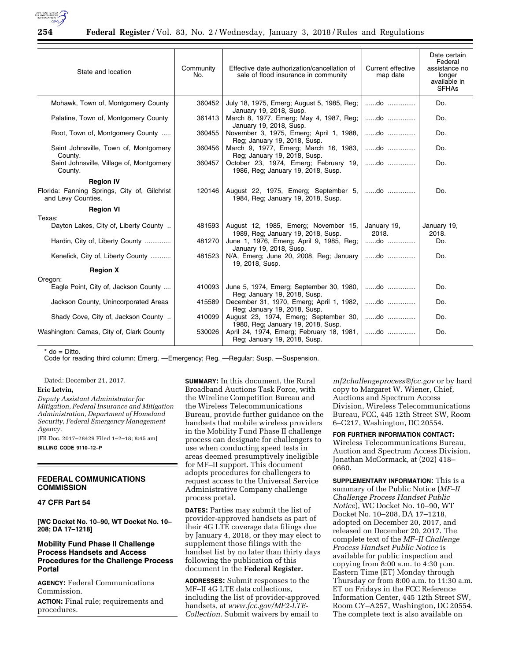

| State and location                                                 | Community<br>No. | Effective date authorization/cancellation of<br>sale of flood insurance in community | Current effective<br>map date | Date certain<br>Federal<br>assistance no<br>longer<br>available in<br><b>SFHAs</b> |
|--------------------------------------------------------------------|------------------|--------------------------------------------------------------------------------------|-------------------------------|------------------------------------------------------------------------------------|
| Mohawk, Town of, Montgomery County                                 | 360452           | July 18, 1975, Emerg; August 5, 1985, Reg;<br>January 19, 2018, Susp.                | do                            | Do.                                                                                |
| Palatine, Town of, Montgomery County                               | 361413           | March 8, 1977, Emerg; May 4, 1987, Reg;<br>January 19, 2018, Susp.                   | do                            | Do.                                                                                |
| Root, Town of, Montgomery County                                   | 360455           | November 3, 1975, Emerg; April 1, 1988,<br>Reg; January 19, 2018, Susp.              | do                            | Do.                                                                                |
| Saint Johnsville, Town of, Montgomery<br>County.                   | 360456           | March 9, 1977, Emerg; March 16, 1983,<br>Reg; January 19, 2018, Susp.                | do                            | Do.                                                                                |
| Saint Johnsville, Village of, Montgomery<br>County.                | 360457           | October 23, 1974, Emerg; February 19,<br>1986, Reg; January 19, 2018, Susp.          | do                            | Do.                                                                                |
| <b>Region IV</b>                                                   |                  |                                                                                      |                               |                                                                                    |
| Florida: Fanning Springs, City of, Gilchrist<br>and Levy Counties. | 120146           | August 22, 1975, Emerg; September 5,<br>1984, Reg; January 19, 2018, Susp.           | do                            | Do.                                                                                |
| <b>Region VI</b>                                                   |                  |                                                                                      |                               |                                                                                    |
| Texas:                                                             |                  |                                                                                      |                               |                                                                                    |
| Dayton Lakes, City of, Liberty County                              | 481593           | August 12, 1985, Emerg; November 15,<br>1989, Reg; January 19, 2018, Susp.           | January 19,<br>2018.          | January 19,<br>2018.                                                               |
| Hardin, City of, Liberty County                                    | 481270           | June 1, 1976, Emerg; April 9, 1985, Reg;<br>January 19, 2018, Susp.                  | do                            | Do.                                                                                |
| Kenefick, City of, Liberty County                                  | 481523           | N/A, Emerg; June 20, 2008, Reg; January<br>19, 2018, Susp.                           | do                            | Do.                                                                                |
| <b>Region X</b>                                                    |                  |                                                                                      |                               |                                                                                    |
| Oregon:                                                            |                  |                                                                                      |                               |                                                                                    |
| Eagle Point, City of, Jackson County                               | 410093           | June 5, 1974, Emerg; September 30, 1980,<br>Reg; January 19, 2018, Susp.             | do                            | Do.                                                                                |
| Jackson County, Unincorporated Areas                               | 415589           | December 31, 1970, Emerg; April 1, 1982,<br>Reg; January 19, 2018, Susp.             | do                            | Do.                                                                                |
| Shady Cove, City of, Jackson County                                | 410099           | August 23, 1974, Emerg; September 30,<br>1980, Reg; January 19, 2018, Susp.          | do                            | Do.                                                                                |
| Washington: Camas, City of, Clark County                           | 530026           | April 24, 1974, Emerg; February 18, 1981,<br>Reg; January 19, 2018, Susp.            | do                            | Do.                                                                                |

\* do = Ditto.

Code for reading third column: Emerg. —Emergency; Reg. —Regular; Susp. —Suspension.

Dated: December 21, 2017.

## **Eric Letvin,**

*Deputy Assistant Administrator for Mitigation, Federal Insurance and Mitigation Administration, Department of Homeland Security, Federal Emergency Management Agency.* 

[FR Doc. 2017–28429 Filed 1–2–18; 8:45 am] **BILLING CODE 9110–12–P** 

### **FEDERAL COMMUNICATIONS COMMISSION**

## **47 CFR Part 54**

**[WC Docket No. 10–90, WT Docket No. 10– 208; DA 17–1218]** 

## **Mobility Fund Phase II Challenge Process Handsets and Access Procedures for the Challenge Process Portal**

**AGENCY:** Federal Communications Commission.

**ACTION:** Final rule; requirements and procedures.

**SUMMARY:** In this document, the Rural Broadband Auctions Task Force, with the Wireline Competition Bureau and the Wireless Telecommunications Bureau, provide further guidance on the handsets that mobile wireless providers in the Mobility Fund Phase II challenge process can designate for challengers to use when conducting speed tests in areas deemed presumptively ineligible for MF–II support. This document adopts procedures for challengers to request access to the Universal Service Administrative Company challenge process portal.

**DATES:** Parties may submit the list of provider-approved handsets as part of their 4G LTE coverage data filings due by January 4, 2018, or they may elect to supplement those filings with the handset list by no later than thirty days following the publication of this document in the **Federal Register.** 

**ADDRESSES:** Submit responses to the MF–II 4G LTE data collections, including the list of provider-approved handsets, at *[www.fcc.gov/MF2-LTE-](www.fcc.gov/MF2-LTE-Collection)[Collection.](www.fcc.gov/MF2-LTE-Collection)* Submit waivers by email to

*[mf2challengeprocess@fcc.gov](mailto:mf2challengeprocess@fcc.gov)* or by hard copy to Margaret W. Wiener, Chief, Auctions and Spectrum Access Division, Wireless Telecommunications Bureau, FCC, 445 12th Street SW, Room 6–C217, Washington, DC 20554.

### **FOR FURTHER INFORMATION CONTACT:**

Wireless Telecommunications Bureau, Auction and Spectrum Access Division, Jonathan McCormack, at (202) 418– 0660.

**SUPPLEMENTARY INFORMATION:** This is a summary of the Public Notice (*MF–II Challenge Process Handset Public Notice*), WC Docket No. 10–90, WT Docket No. 10–208, DA 17–1218, adopted on December 20, 2017, and released on December 20, 2017. The complete text of the *MF–II Challenge Process Handset Public Notice* is available for public inspection and copying from 8:00 a.m. to 4:30 p.m. Eastern Time (ET) Monday through Thursday or from 8:00 a.m. to 11:30 a.m. ET on Fridays in the FCC Reference Information Center, 445 12th Street SW, Room CY–A257, Washington, DC 20554. The complete text is also available on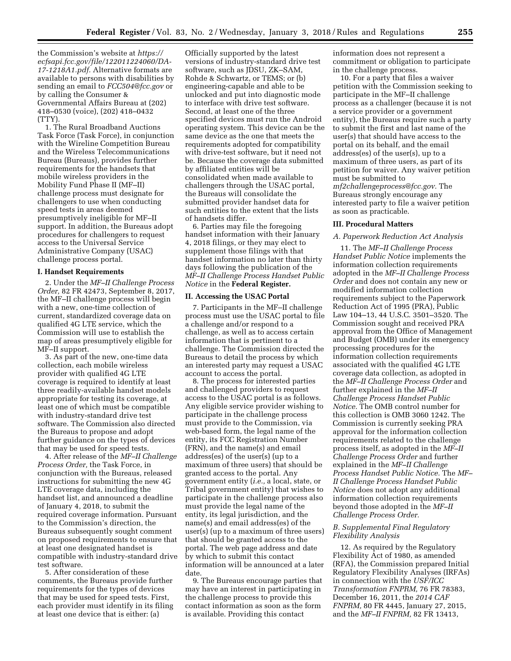the Commission's website at *[https://](https://ecfsapi.fcc.gov/file/122011224060/DA-17-1218A1.pdf) [ecfsapi.fcc.gov/file/122011224060/DA-](https://ecfsapi.fcc.gov/file/122011224060/DA-17-1218A1.pdf)[17-1218A1.pdf.](https://ecfsapi.fcc.gov/file/122011224060/DA-17-1218A1.pdf)* Alternative formats are available to persons with disabilities by sending an email to *[FCC504@fcc.gov](mailto:FCC504@fcc.gov)* or by calling the Consumer & Governmental Affairs Bureau at (202) 418–0530 (voice), (202) 418–0432 (TTY).

1. The Rural Broadband Auctions Task Force (Task Force), in conjunction with the Wireline Competition Bureau and the Wireless Telecommunications Bureau (Bureaus), provides further requirements for the handsets that mobile wireless providers in the Mobility Fund Phase II (MF–II) challenge process must designate for challengers to use when conducting speed tests in areas deemed presumptively ineligible for MF–II support. In addition, the Bureaus adopt procedures for challengers to request access to the Universal Service Administrative Company (USAC) challenge process portal.

#### **I. Handset Requirements**

2. Under the *MF–II Challenge Process Order,* 82 FR 42473, September 8, 2017, the MF–II challenge process will begin with a new, one-time collection of current, standardized coverage data on qualified 4G LTE service, which the Commission will use to establish the map of areas presumptively eligible for MF–II support.

3. As part of the new, one-time data collection, each mobile wireless provider with qualified 4G LTE coverage is required to identify at least three readily-available handset models appropriate for testing its coverage, at least one of which must be compatible with industry-standard drive test software. The Commission also directed the Bureaus to propose and adopt further guidance on the types of devices that may be used for speed tests.

4. After release of the *MF–II Challenge Process Order,* the Task Force, in conjunction with the Bureaus, released instructions for submitting the new 4G LTE coverage data, including the handset list, and announced a deadline of January 4, 2018, to submit the required coverage information. Pursuant to the Commission's direction, the Bureaus subsequently sought comment on proposed requirements to ensure that at least one designated handset is compatible with industry-standard drive test software.

5. After consideration of these comments, the Bureaus provide further requirements for the types of devices that may be used for speed tests. First, each provider must identify in its filing at least one device that is either: (a)

Officially supported by the latest versions of industry-standard drive test software, such as JDSU, ZK–SAM, Rohde & Schwartz, or TEMS; or (b) engineering-capable and able to be unlocked and put into diagnostic mode to interface with drive test software. Second, at least one of the three specified devices must run the Android operating system. This device can be the same device as the one that meets the requirements adopted for compatibility with drive-test software, but it need not be. Because the coverage data submitted by affiliated entities will be consolidated when made available to challengers through the USAC portal, the Bureaus will consolidate the submitted provider handset data for such entities to the extent that the lists of handsets differ.

6. Parties may file the foregoing handset information with their January 4, 2018 filings, or they may elect to supplement those filings with that handset information no later than thirty days following the publication of the *MF–II Challenge Process Handset Public Notice* in the **Federal Register.** 

## **II. Accessing the USAC Portal**

7. Participants in the MF–II challenge process must use the USAC portal to file a challenge and/or respond to a challenge, as well as to access certain information that is pertinent to a challenge. The Commission directed the Bureaus to detail the process by which an interested party may request a USAC account to access the portal.

8. The process for interested parties and challenged providers to request access to the USAC portal is as follows. Any eligible service provider wishing to participate in the challenge process must provide to the Commission, via web-based form, the legal name of the entity, its FCC Registration Number (FRN), and the name(s) and email address(es) of the user(s) (up to a maximum of three users) that should be granted access to the portal. Any government entity (*i.e.,* a local, state, or Tribal government entity) that wishes to participate in the challenge process also must provide the legal name of the entity, its legal jurisdiction, and the name(s) and email address(es) of the user(s) (up to a maximum of three users) that should be granted access to the portal. The web page address and date by which to submit this contact information will be announced at a later date.

9. The Bureaus encourage parties that may have an interest in participating in the challenge process to provide this contact information as soon as the form is available. Providing this contact

information does not represent a commitment or obligation to participate in the challenge process.

10. For a party that files a waiver petition with the Commission seeking to participate in the MF–II challenge process as a challenger (because it is not a service provider or a government entity), the Bureaus require such a party to submit the first and last name of the user(s) that should have access to the portal on its behalf, and the email address(es) of the user(s), up to a maximum of three users, as part of its petition for waiver. Any waiver petition must be submitted to *[mf2challengeprocess@fcc.gov.](mailto:mf2challengeprocess@fcc.gov)* The Bureaus strongly encourage any interested party to file a waiver petition as soon as practicable.

### **III. Procedural Matters**

#### *A. Paperwork Reduction Act Analysis*

11. The *MF–II Challenge Process Handset Public Notice* implements the information collection requirements adopted in the *MF–II Challenge Process Order* and does not contain any new or modified information collection requirements subject to the Paperwork Reduction Act of 1995 (PRA), Public Law 104–13, 44 U.S.C. 3501–3520. The Commission sought and received PRA approval from the Office of Management and Budget (OMB) under its emergency processing procedures for the information collection requirements associated with the qualified 4G LTE coverage data collection, as adopted in the *MF–II Challenge Process Order* and further explained in the *MF–II Challenge Process Handset Public Notice.* The OMB control number for this collection is OMB 3060 1242. The Commission is currently seeking PRA approval for the information collection requirements related to the challenge process itself, as adopted in the *MF–II Challenge Process Order* and further explained in the *MF–II Challenge Process Handset Public Notice.* The *MF– II Challenge Process Handset Public Notice* does not adopt any additional information collection requirements beyond those adopted in the *MF–II Challenge Process Order.* 

## *B. Supplemental Final Regulatory Flexibility Analysis*

12. As required by the Regulatory Flexibility Act of 1980, as amended (RFA), the Commission prepared Initial Regulatory Flexibility Analyses (IRFAs) in connection with the *USF/ICC Transformation FNPRM,* 76 FR 78383, December 16, 2011, the *2014 CAF FNPRM,* 80 FR 4445, January 27, 2015, and the *MF–II FNPRM,* 82 FR 13413,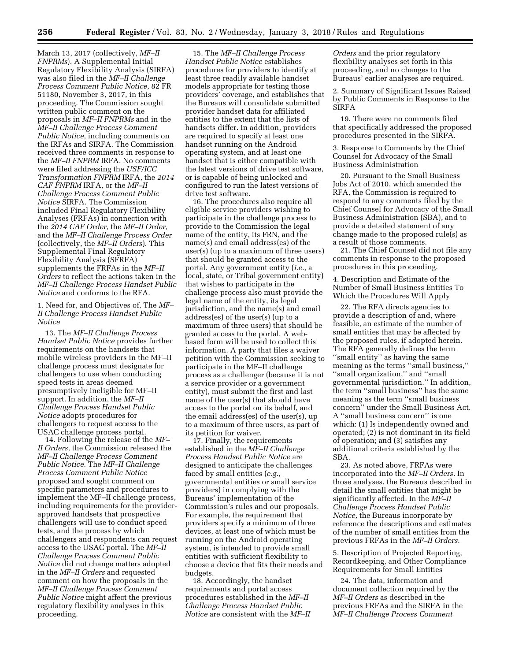**256 Federal Register** / Vol. 83, No. 2 / Wednesday, January 3, 2018 / Rules and Regulations

March 13, 2017 (collectively, *MF–II FNPRMs*). A Supplemental Initial Regulatory Flexibility Analysis (SIRFA) was also filed in the *MF–II Challenge Process Comment Public Notice,* 82 FR 51180, November 3, 2017, in this proceeding. The Commission sought written public comment on the proposals in *MF–II FNPRMs* and in the *MF–II Challenge Process Comment Public Notice,* including comments on the IRFAs and SIRFA. The Commission received three comments in response to the *MF–II FNPRM* IRFA. No comments were filed addressing the *USF/ICC Transformation FNPRM* IRFA, the *2014 CAF FNPRM* IRFA, or the *MF–II Challenge Process Comment Public Notice* SIRFA. The Commission included Final Regulatory Flexibility Analyses (FRFAs) in connection with the *2014 CAF Order,* the *MF–II Order,*  and the *MF–II Challenge Process Order*  (collectively, the *MF–II Orders*). This Supplemental Final Regulatory Flexibility Analysis (SFRFA) supplements the FRFAs in the *MF–II Orders* to reflect the actions taken in the *MF–II Challenge Process Handset Public Notice* and conforms to the RFA.

1. Need for, and Objectives of, The *MF– II Challenge Process Handset Public Notice* 

13. The *MF–II Challenge Process Handset Public Notice* provides further requirements on the handsets that mobile wireless providers in the MF–II challenge process must designate for challengers to use when conducting speed tests in areas deemed presumptively ineligible for MF–II support. In addition, the *MF–II Challenge Process Handset Public Notice* adopts procedures for challengers to request access to the USAC challenge process portal.

14. Following the release of the *MF– II Orders,* the Commission released the *MF–II Challenge Process Comment Public Notice.* The *MF–II Challenge Process Comment Public Notice*  proposed and sought comment on specific parameters and procedures to implement the MF–II challenge process, including requirements for the providerapproved handsets that prospective challengers will use to conduct speed tests, and the process by which challengers and respondents can request access to the USAC portal. The *MF–II Challenge Process Comment Public Notice* did not change matters adopted in the *MF–II Orders* and requested comment on how the proposals in the *MF–II Challenge Process Comment Public Notice* might affect the previous regulatory flexibility analyses in this proceeding.

15. The *MF–II Challenge Process Handset Public Notice* establishes procedures for providers to identify at least three readily available handset models appropriate for testing those providers' coverage, and establishes that the Bureaus will consolidate submitted provider handset data for affiliated entities to the extent that the lists of handsets differ. In addition, providers are required to specify at least one handset running on the Android operating system, and at least one handset that is either compatible with the latest versions of drive test software, or is capable of being unlocked and configured to run the latest versions of drive test software.

16. The procedures also require all eligible service providers wishing to participate in the challenge process to provide to the Commission the legal name of the entity, its FRN, and the name(s) and email address(es) of the user(s) (up to a maximum of three users) that should be granted access to the portal. Any government entity (*i.e.,* a local, state, or Tribal government entity) that wishes to participate in the challenge process also must provide the legal name of the entity, its legal jurisdiction, and the name(s) and email address(es) of the user(s) (up to a maximum of three users) that should be granted access to the portal. A webbased form will be used to collect this information. A party that files a waiver petition with the Commission seeking to participate in the MF–II challenge process as a challenger (because it is not a service provider or a government entity), must submit the first and last name of the user(s) that should have access to the portal on its behalf, and the email address(es) of the user(s), up to a maximum of three users, as part of its petition for waiver.

17. Finally, the requirements established in the *MF–II Challenge Process Handset Public Notice* are designed to anticipate the challenges faced by small entities (*e.g.,*  governmental entities or small service providers) in complying with the Bureaus' implementation of the Commission's rules and our proposals. For example, the requirement that providers specify a minimum of three devices, at least one of which must be running on the Android operating system, is intended to provide small entities with sufficient flexibility to choose a device that fits their needs and budgets.

18. Accordingly, the handset requirements and portal access procedures established in the *MF–II Challenge Process Handset Public Notice* are consistent with the *MF–II* 

*Orders* and the prior regulatory flexibility analyses set forth in this proceeding, and no changes to the Bureaus' earlier analyses are required.

2. Summary of Significant Issues Raised by Public Comments in Response to the SIRFA

19. There were no comments filed that specifically addressed the proposed procedures presented in the SIRFA.

3. Response to Comments by the Chief Counsel for Advocacy of the Small Business Administration

20. Pursuant to the Small Business Jobs Act of 2010, which amended the RFA, the Commission is required to respond to any comments filed by the Chief Counsel for Advocacy of the Small Business Administration (SBA), and to provide a detailed statement of any change made to the proposed  $rule(s)$  as a result of those comments.

21. The Chief Counsel did not file any comments in response to the proposed procedures in this proceeding.

4. Description and Estimate of the Number of Small Business Entities To Which the Procedures Will Apply

22. The RFA directs agencies to provide a description of and, where feasible, an estimate of the number of small entities that may be affected by the proposed rules, if adopted herein. The RFA generally defines the term ''small entity'' as having the same meaning as the terms ''small business,'' ''small organization,'' and ''small governmental jurisdiction.'' In addition, the term ''small business'' has the same meaning as the term ''small business concern'' under the Small Business Act. A ''small business concern'' is one which: (1) Is independently owned and operated; (2) is not dominant in its field of operation; and (3) satisfies any additional criteria established by the SBA.

23. As noted above, FRFAs were incorporated into the *MF–II Orders.* In those analyses, the Bureaus described in detail the small entities that might be significantly affected. In the *MF–II Challenge Process Handset Public Notice,* the Bureaus incorporate by reference the descriptions and estimates of the number of small entities from the previous FRFAs in the *MF–II Orders.* 

5. Description of Projected Reporting, Recordkeeping, and Other Compliance Requirements for Small Entities

24. The data, information and document collection required by the *MF–II Orders* as described in the previous FRFAs and the SIRFA in the *MF–II Challenge Process Comment*